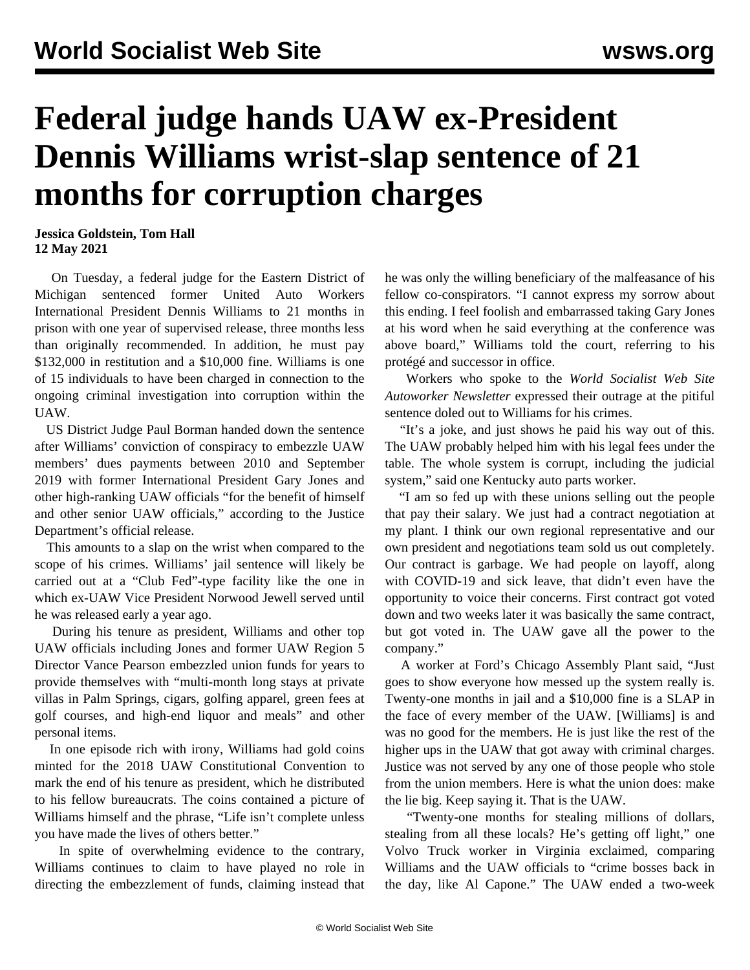## **Federal judge hands UAW ex-President Dennis Williams wrist-slap sentence of 21 months for corruption charges**

**Jessica Goldstein, Tom Hall 12 May 2021**

 On Tuesday, a federal judge for the Eastern District of Michigan sentenced former United Auto Workers International President Dennis Williams to 21 months in prison with one year of supervised release, three months less than originally recommended. In addition, he must pay \$132,000 in restitution and a \$10,000 fine. Williams is one of 15 individuals to have been charged in connection to the ongoing criminal investigation into corruption within the UAW.

 US District Judge Paul Borman handed down the sentence after Williams' conviction of conspiracy to embezzle UAW members' dues payments between 2010 and September 2019 with former International President Gary Jones and other high-ranking UAW officials "for the benefit of himself and other senior UAW officials," according to the Justice Department's official release.

 This amounts to a slap on the wrist when compared to the scope of his crimes. Williams' jail sentence will likely be carried out at a "Club Fed"-type facility like the one in which ex-UAW Vice President Norwood Jewell served until he was released early a year ago.

 During his tenure as president, Williams and other top UAW officials including Jones and former UAW Region 5 Director Vance Pearson embezzled union funds for years to provide themselves with "multi-month long stays at private villas in Palm Springs, cigars, golfing apparel, green fees at golf courses, and high-end liquor and meals" and other personal items.

 In one episode rich with irony, Williams had gold coins minted for the 2018 UAW Constitutional Convention to mark the end of his tenure as president, which he distributed to his fellow bureaucrats. The coins contained a picture of Williams himself and the phrase, "Life isn't complete unless you have made the lives of others better."

 In spite of overwhelming evidence to the contrary, Williams continues to claim to have played no role in directing the embezzlement of funds, claiming instead that he was only the willing beneficiary of the malfeasance of his fellow co-conspirators. "I cannot express my sorrow about this ending. I feel foolish and embarrassed taking Gary Jones at his word when he said everything at the conference was above board," Williams told the court, referring to his protégé and successor in office.

 Workers who spoke to the *World Socialist Web Site Autoworker Newsletter* expressed their outrage at the pitiful sentence doled out to Williams for his crimes.

 "It's a joke, and just shows he paid his way out of this. The UAW probably helped him with his legal fees under the table. The whole system is corrupt, including the judicial system," said one Kentucky auto parts worker.

 "I am so fed up with these unions selling out the people that pay their salary. We just had a contract negotiation at my plant. I think our own regional representative and our own president and negotiations team sold us out completely. Our contract is garbage. We had people on layoff, along with COVID-19 and sick leave, that didn't even have the opportunity to voice their concerns. First contract got voted down and two weeks later it was basically the same contract, but got voted in. The UAW gave all the power to the company."

 A worker at Ford's Chicago Assembly Plant said, "Just goes to show everyone how messed up the system really is. Twenty-one months in jail and a \$10,000 fine is a SLAP in the face of every member of the UAW. [Williams] is and was no good for the members. He is just like the rest of the higher ups in the UAW that got away with criminal charges. Justice was not served by any one of those people who stole from the union members. Here is what the union does: make the lie big. Keep saying it. That is the UAW.

 "Twenty-one months for stealing millions of dollars, stealing from all these locals? He's getting off light," one Volvo Truck worker in Virginia exclaimed, comparing Williams and the UAW officials to "crime bosses back in the day, like Al Capone." The UAW ended a two-week